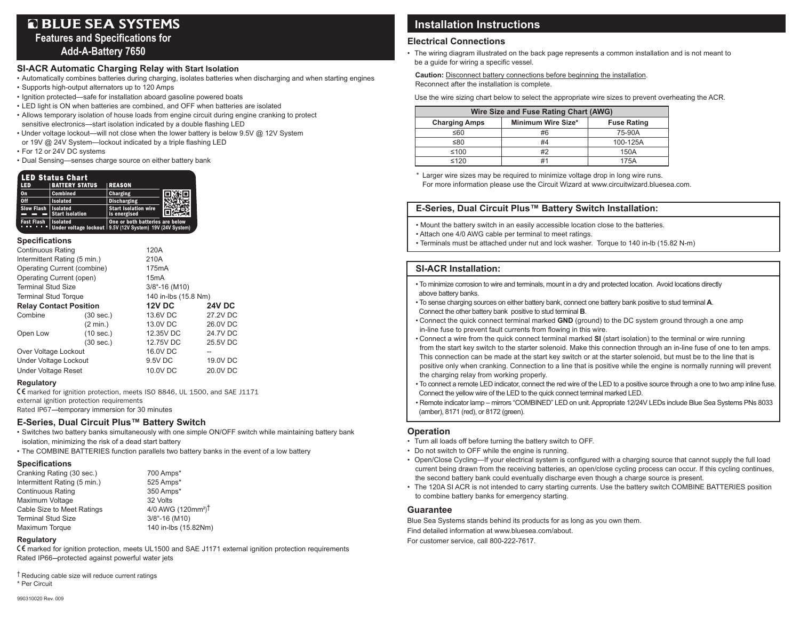# **Q BLUE SEA SYSTEMS**

**Features and Specifications for Add-A-Battery 7650** 

#### **SI-ACR Automatic Charging Relay with Start Isolation**

- Automatically combines batteries during charging, isolates batteries when discharging and when starting engines
- Supports high-output alternators up to 120 Amps
- Ignition protected—safe for installation aboard gasoline powered boats
- LED light is ON when batteries are combined, and OFF when batteries are isolated
- Allows temporary isolation of house loads from engine circuit during engine cranking to protect sensitive electronics—start isolation indicated by a double flashing LED
- Under voltage lockout—will not close when the lower battery is below 9.5V @ 12V System
- or 19V @ 24V System—lockout indicated by a triple flashing LED
- For 12 or 24V DC systems
- Dual Sensing—senses charge source on either battery bank

| LED Status Chart             |                                                                               |                                             |  |  |
|------------------------------|-------------------------------------------------------------------------------|---------------------------------------------|--|--|
| LED                          | <b>BATTERY STATUS</b>                                                         | <b>REASON</b>                               |  |  |
| <b>On</b>                    | <b>Combined</b>                                                               | <b>Charging</b>                             |  |  |
| 0 <sup>ff</sup>              | <b>Isolated</b>                                                               | <b>Discharging</b>                          |  |  |
| <b>Slow Flash   Isolated</b> | <b>Start isolation</b>                                                        | <b>Start Isolation wire</b><br>is energised |  |  |
| <b>Fast Flash</b>            | <b>Isolated</b><br>Under voltage lockout   9.5V (12V System) 19V (24V System) | One or both batteries are below             |  |  |

#### **Specifications**

| <b>Continuous Rating</b>      |           |                                                          |  |  |
|-------------------------------|-----------|----------------------------------------------------------|--|--|
| Intermittent Rating (5 min.)  |           | 210A                                                     |  |  |
| Operating Current (combine)   |           | 175mA                                                    |  |  |
| Operating Current (open)      |           | 15 <sub>m</sub> A                                        |  |  |
| <b>Terminal Stud Size</b>     |           | 3/8"-16 (M10)                                            |  |  |
| <b>Terminal Stud Torque</b>   |           | 140 in-lbs (15.8 Nm)                                     |  |  |
| <b>Relay Contact Position</b> |           | <b>24V DC</b>                                            |  |  |
| $(30 \text{ sec.})$           | 13.6V DC  | 27.2V DC                                                 |  |  |
| $(2 \text{ min.})$            | 13.0V DC  | 26.0V DC                                                 |  |  |
| (10 sec.)                     | 12.35V DC | 24.7V DC                                                 |  |  |
| $(30 \text{ sec.})$           | 12.75V DC | 25.5V DC                                                 |  |  |
| Over Voltage Lockout          |           | --                                                       |  |  |
| Under Voltage Lockout         |           | 19.0V DC                                                 |  |  |
| <b>Under Voltage Reset</b>    |           | 20.0V DC                                                 |  |  |
|                               |           | 120A<br><b>12V DC</b><br>16.0V DC<br>9.5V DC<br>10.0V DC |  |  |

#### **Regulatory**

E marked for ignition protection, meets ISO 8846, UL 1500, and SAE J1171 external ignition protection requirements

Rated IP67-temporary immersion for 30 minutes

#### **E-Series, Dual Circuit Plus™ Battery Switch**

- Switches two battery banks simultaneously with one simple ON/OFF switch while maintaining battery bank isolation, minimizing the risk of a dead start battery
- The COMBINE BATTERIES function parallels two battery banks in the event of a low battery

#### **Specifications**

| Cranking Rating (30 sec.)    | 700 Amps*                                  |
|------------------------------|--------------------------------------------|
| Intermittent Rating (5 min.) | 525 Amps*                                  |
| <b>Continuous Rating</b>     | 350 Amps*                                  |
| Maximum Voltage              | 32 Volts                                   |
| Cable Size to Meet Ratings   | 4/0 AWG (120mm <sup>2</sup> ) <sup>†</sup> |
| <b>Terminal Stud Size</b>    | $3/8" - 16$ (M10)                          |
| Maximum Torque               | 140 in-lbs (15.82Nm)                       |

#### **Regulatory**

E marked for ignition protection, meets UL1500 and SAE J1171 external ignition protection requirements Rated IP66--protected against powerful water jets

† Reducing cable size will reduce current ratings \* Per Circuit

## **Installation Instructions**

#### **Electrical Connections**

• The wiring diagram illustrated on the back page represents a common installation and is not meant to be a guide for wiring a specific vessel.

 **Caution:** Disconnect battery connections before beginning the installation. Reconnect after the installation is complete.

Use the wire sizing chart below to select the appropriate wire sizes to prevent overheating the ACR.

| Wire Size and Fuse Rating Chart (AWG) |                    |                    |  |  |
|---------------------------------------|--------------------|--------------------|--|--|
| <b>Charging Amps</b>                  | Minimum Wire Size* | <b>Fuse Rating</b> |  |  |
| ≤60                                   | #6                 | 75-90A             |  |  |
| ≤80                                   | #4                 | 100-125A           |  |  |
| ≤100                                  | #2                 | 150A               |  |  |
| $\leq 120$                            |                    | 175A               |  |  |

\* Larger wire sizes may be required to minimize voltage drop in long wire runs. For more information please use the Circuit Wizard at www.circuitwizard.bluesea.com.

#### **E-Series, Dual Circuit Plus™ Battery Switch Installation:**

• Mount the battery switch in an easily accessible location close to the batteries.

- Attach one 4/0 AWG cable per terminal to meet ratings.
- Terminals must be attached under nut and lock washer. Torque to 140 in-lb (15.82 N-m)

### **SI-ACR Installation:**

- To minimize corrosion to wire and terminals, mount in a dry and protected location. Avoid locations directly above battery banks.
- To sense charging sources on either battery bank, connect one battery bank positive to stud terminal **A**. Connect the other battery bank positive to stud terminal **B**.
- Connect the quick connect terminal marked **GND** (ground) to the DC system ground through a one amp in-line fuse to prevent fault currents from flowing in this wire.
- Connect a wire from the quick connect terminal marked **SI** (start isolation) to the terminal or wire running from the start key switch to the starter solenoid. Make this connection through an in-line fuse of one to ten amps. This connection can be made at the start key switch or at the starter solenoid, but must be to the line that is positive only when cranking. Connection to a line that is positive while the engine is normally running will prevent the charging relay from working properly.
- To connect a remote LED indicator, connect the red wire of the LED to a positive source through a one to two amp inline fuse. Connect the yellow wire of the LED to the quick connect terminal marked LED.
- Remote indicator lamp mirrors "COMBINED" LED on unit. Appropriate 12/24V LEDs include Blue Sea Systems PNs 8033 (amber), 8171 (red), or 8172 (green).

#### **Operation**

- Turn all loads off before turning the battery switch to OFF.
- Do not switch to OFF while the engine is running.
- • Open/Close Cycling―If your electrical system is configured with a charging source that cannot supply the full load current being drawn from the receiving batteries, an open/close cycling process can occur. If this cycling continues, the second battery bank could eventually discharge even though a charge source is present.
- The 120A SI ACR is not intended to carry starting currents. Use the battery switch COMBINE BATTERIES position to combine battery banks for emergency starting.

#### **Guarantee**

Blue Sea Systems stands behind its products for as long as you own them. Find detailed information at www.bluesea.com/about. For customer service, call 800-222-7617.